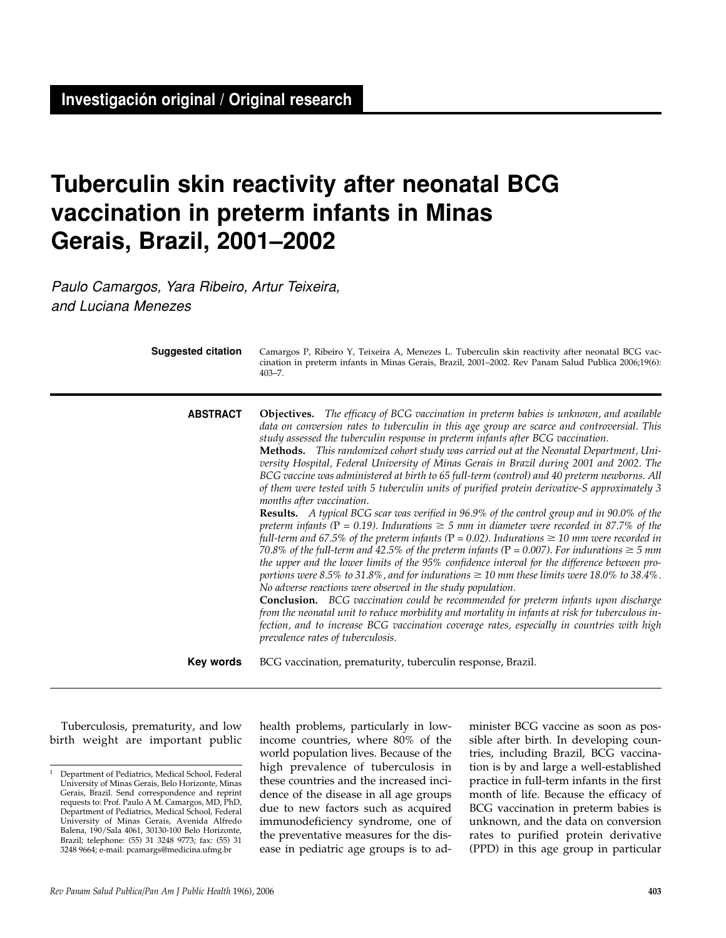# **Tuberculin skin reactivity after neonatal BCG vaccination in preterm infants in Minas Gerais, Brazil, 2001–2002**

Paulo Camargos, Yara Ribeiro, Artur Teixeira, and Luciana Menezes

| <b>Suggested citation</b> | Camargos P, Ribeiro Y, Teixeira A, Menezes L. Tuberculin skin reactivity after neonatal BCG vac-<br>cination in preterm infants in Minas Gerais, Brazil, 2001-2002. Rev Panam Salud Publica 2006;19(6):<br>$403 - 7.$                                                                                                                                                                                                                                                                                                                                                                                                                                                                                                                                                                                                                                                                                                                                                                                                                                                                                                                                                                                                                                                                                                                                                                                                                                                                                                                                                                                                                                                                                                  |  |  |  |
|---------------------------|------------------------------------------------------------------------------------------------------------------------------------------------------------------------------------------------------------------------------------------------------------------------------------------------------------------------------------------------------------------------------------------------------------------------------------------------------------------------------------------------------------------------------------------------------------------------------------------------------------------------------------------------------------------------------------------------------------------------------------------------------------------------------------------------------------------------------------------------------------------------------------------------------------------------------------------------------------------------------------------------------------------------------------------------------------------------------------------------------------------------------------------------------------------------------------------------------------------------------------------------------------------------------------------------------------------------------------------------------------------------------------------------------------------------------------------------------------------------------------------------------------------------------------------------------------------------------------------------------------------------------------------------------------------------------------------------------------------------|--|--|--|
| <b>ABSTRACT</b>           | Objectives. The efficacy of BCG vaccination in preterm babies is unknown, and available<br>data on conversion rates to tuberculin in this age group are scarce and controversial. This<br>study assessed the tuberculin response in preterm infants after BCG vaccination.<br>Methods. This randomized cohort study was carried out at the Neonatal Department, Uni-<br>versity Hospital, Federal University of Minas Gerais in Brazil during 2001 and 2002. The<br>BCG vaccine was administered at birth to 65 full-term (control) and 40 preterm newborns. All<br>of them were tested with 5 tuberculin units of purified protein derivative-S approximately 3<br>months after vaccination.<br><b>Results.</b> A typical BCG scar was verified in 96.9% of the control group and in 90.0% of the<br>preterm infants (P = 0.19). Indurations $\geq$ 5 mm in diameter were recorded in 87.7% of the<br>full-term and 67.5% of the preterm infants ( $P = 0.02$ ). Indurations $\geq 10$ mm were recorded in<br>70.8% of the full-term and 42.5% of the preterm infants (P = 0.007). For indurations $\geq$ 5 mm<br>the upper and the lower limits of the 95% confidence interval for the difference between pro-<br>portions were 8.5% to 31.8%, and for indurations $\geq$ 10 mm these limits were 18.0% to 38.4%.<br>No adverse reactions were observed in the study population.<br><b>Conclusion.</b> BCG vaccination could be recommended for preterm infants upon discharge<br>from the neonatal unit to reduce morbidity and mortality in infants at risk for tuberculous in-<br>fection, and to increase BCG vaccination coverage rates, especially in countries with high<br>prevalence rates of tuberculosis. |  |  |  |
| Key words                 | BCG vaccination, prematurity, tuberculin response, Brazil.                                                                                                                                                                                                                                                                                                                                                                                                                                                                                                                                                                                                                                                                                                                                                                                                                                                                                                                                                                                                                                                                                                                                                                                                                                                                                                                                                                                                                                                                                                                                                                                                                                                             |  |  |  |

Tuberculosis, prematurity, and low birth weight are important public health problems, particularly in lowincome countries, where 80% of the world population lives. Because of the high prevalence of tuberculosis in these countries and the increased incidence of the disease in all age groups due to new factors such as acquired immunodeficiency syndrome, one of the preventative measures for the disease in pediatric age groups is to administer BCG vaccine as soon as possible after birth. In developing countries, including Brazil, BCG vaccination is by and large a well-established practice in full-term infants in the first month of life. Because the efficacy of BCG vaccination in preterm babies is unknown, and the data on conversion rates to purified protein derivative (PPD) in this age group in particular

<sup>1</sup> Department of Pediatrics, Medical School, Federal University of Minas Gerais, Belo Horizonte, Minas Gerais, Brazil. Send correspondence and reprint requests to: Prof. Paulo A M. Camargos, MD, PhD, Department of Pediatrics, Medical School, Federal University of Minas Gerais, Avenida Alfredo Balena, 190/Sala 4061, 30130-100 Belo Horizonte, Brazil; telephone: (55) 31 3248 9773; fax: (55) 31 3248 9664; e-mail: pcamargs@medicina.ufmg.br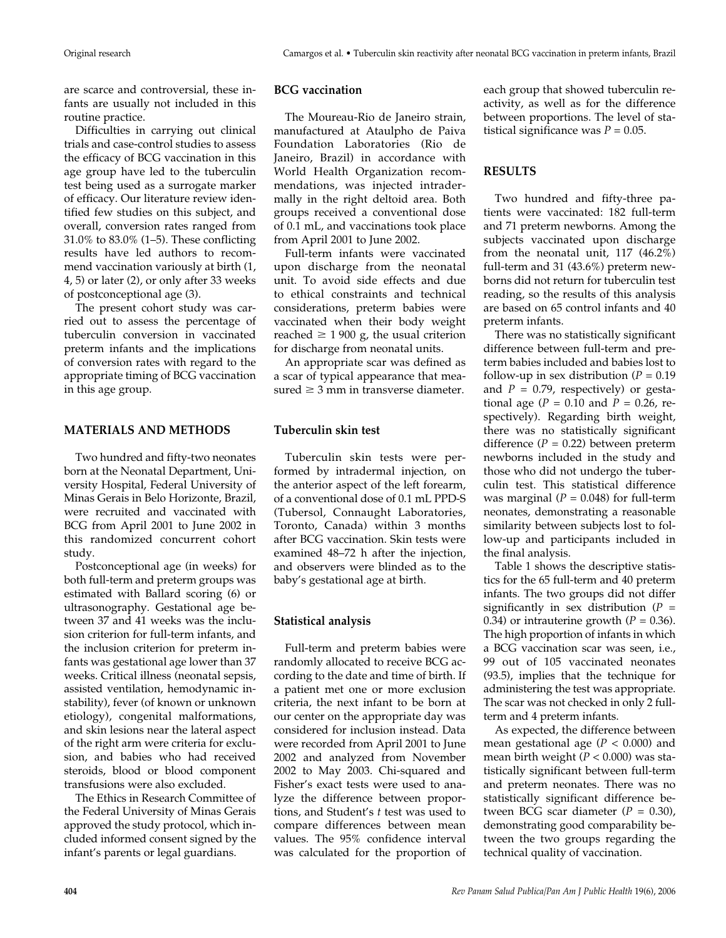are scarce and controversial, these infants are usually not included in this routine practice.

Difficulties in carrying out clinical trials and case-control studies to assess the efficacy of BCG vaccination in this age group have led to the tuberculin test being used as a surrogate marker of efficacy. Our literature review identified few studies on this subject, and overall, conversion rates ranged from 31.0% to 83.0% (1–5). These conflicting results have led authors to recommend vaccination variously at birth (1, 4, 5) or later (2), or only after 33 weeks of postconceptional age (3).

The present cohort study was carried out to assess the percentage of tuberculin conversion in vaccinated preterm infants and the implications of conversion rates with regard to the appropriate timing of BCG vaccination in this age group.

# **MATERIALS AND METHODS**

Two hundred and fifty-two neonates born at the Neonatal Department, University Hospital, Federal University of Minas Gerais in Belo Horizonte, Brazil, were recruited and vaccinated with BCG from April 2001 to June 2002 in this randomized concurrent cohort study.

Postconceptional age (in weeks) for both full-term and preterm groups was estimated with Ballard scoring (6) or ultrasonography. Gestational age between 37 and 41 weeks was the inclusion criterion for full-term infants, and the inclusion criterion for preterm infants was gestational age lower than 37 weeks. Critical illness (neonatal sepsis, assisted ventilation, hemodynamic instability), fever (of known or unknown etiology), congenital malformations, and skin lesions near the lateral aspect of the right arm were criteria for exclusion, and babies who had received steroids, blood or blood component transfusions were also excluded.

The Ethics in Research Committee of the Federal University of Minas Gerais approved the study protocol, which included informed consent signed by the infant's parents or legal guardians.

#### **BCG vaccination**

The Moureau-Rio de Janeiro strain, manufactured at Ataulpho de Paiva Foundation Laboratories (Rio de Janeiro, Brazil) in accordance with World Health Organization recommendations, was injected intradermally in the right deltoid area. Both groups received a conventional dose of 0.1 mL, and vaccinations took place from April 2001 to June 2002.

Full-term infants were vaccinated upon discharge from the neonatal unit. To avoid side effects and due to ethical constraints and technical considerations, preterm babies were vaccinated when their body weight reached  $\geq 1900$  g, the usual criterion for discharge from neonatal units.

An appropriate scar was defined as a scar of typical appearance that measured  $\geq 3$  mm in transverse diameter.

# **Tuberculin skin test**

Tuberculin skin tests were performed by intradermal injection, on the anterior aspect of the left forearm, of a conventional dose of 0.1 mL PPD-S (Tubersol, Connaught Laboratories, Toronto, Canada) within 3 months after BCG vaccination. Skin tests were examined 48–72 h after the injection, and observers were blinded as to the baby's gestational age at birth.

### **Statistical analysis**

Full-term and preterm babies were randomly allocated to receive BCG according to the date and time of birth. If a patient met one or more exclusion criteria, the next infant to be born at our center on the appropriate day was considered for inclusion instead. Data were recorded from April 2001 to June 2002 and analyzed from November 2002 to May 2003. Chi-squared and Fisher's exact tests were used to analyze the difference between proportions, and Student's *t* test was used to compare differences between mean values. The 95% confidence interval was calculated for the proportion of

each group that showed tuberculin reactivity, as well as for the difference between proportions. The level of statistical significance was  $P = 0.05$ .

## **RESULTS**

Two hundred and fifty-three patients were vaccinated: 182 full-term and 71 preterm newborns. Among the subjects vaccinated upon discharge from the neonatal unit, 117 (46.2%) full-term and 31 (43.6%) preterm newborns did not return for tuberculin test reading, so the results of this analysis are based on 65 control infants and 40 preterm infants.

There was no statistically significant difference between full-term and preterm babies included and babies lost to follow-up in sex distribution  $(P = 0.19)$ and  $P = 0.79$ , respectively) or gestational age ( $P = 0.10$  and  $P = 0.26$ , respectively). Regarding birth weight, there was no statistically significant difference  $(P = 0.22)$  between preterm newborns included in the study and those who did not undergo the tuberculin test. This statistical difference was marginal  $(P = 0.048)$  for full-term neonates, demonstrating a reasonable similarity between subjects lost to follow-up and participants included in the final analysis.

Table 1 shows the descriptive statistics for the 65 full-term and 40 preterm infants. The two groups did not differ significantly in sex distribution (*P* = 0.34) or intrauterine growth  $(P = 0.36)$ . The high proportion of infants in which a BCG vaccination scar was seen, i.e., 99 out of 105 vaccinated neonates (93.5), implies that the technique for administering the test was appropriate. The scar was not checked in only 2 fullterm and 4 preterm infants.

As expected, the difference between mean gestational age  $(P < 0.000)$  and mean birth weight (*P* < 0.000) was statistically significant between full-term and preterm neonates. There was no statistically significant difference between BCG scar diameter  $(P = 0.30)$ , demonstrating good comparability between the two groups regarding the technical quality of vaccination.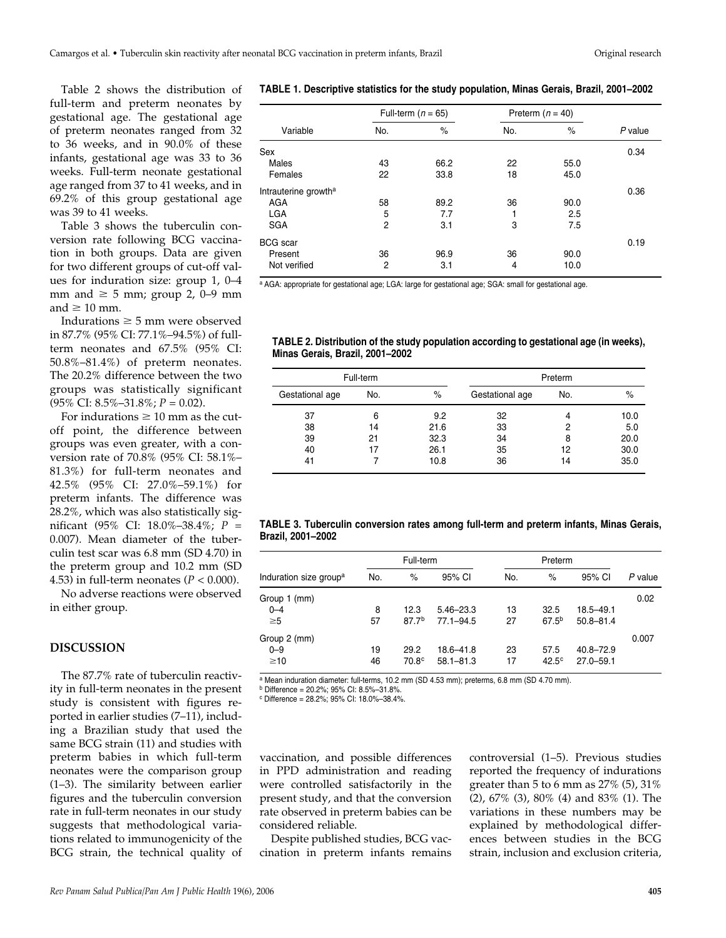Table 2 shows the distribution of full-term and preterm neonates by gestational age. The gestational age of preterm neonates ranged from 32 to 36 weeks, and in 90.0% of these infants, gestational age was 33 to 36 weeks. Full-term neonate gestational age ranged from 37 to 41 weeks, and in 69.2% of this group gestational age was 39 to 41 weeks.

Table 3 shows the tuberculin conversion rate following BCG vaccination in both groups. Data are given for two different groups of cut-off values for induration size: group 1, 0–4 mm and  $\geq 5$  mm; group 2, 0–9 mm and  $\geq 10$  mm.

Indurations  $\geq 5$  mm were observed in 87.7% (95% CI: 77.1%–94.5%) of fullterm neonates and 67.5% (95% CI: 50.8%–81.4%) of preterm neonates. The 20.2% difference between the two groups was statistically significant (95% CI: 8.5%–31.8%; *P* = 0.02).

For indurations  $\geq 10$  mm as the cutoff point, the difference between groups was even greater, with a conversion rate of 70.8% (95% CI: 58.1%– 81.3%) for full-term neonates and 42.5% (95% CI: 27.0%–59.1%) for preterm infants. The difference was 28.2%, which was also statistically significant (95% CI: 18.0%–38.4%; *P* = 0.007). Mean diameter of the tuberculin test scar was 6.8 mm (SD 4.70) in the preterm group and 10.2 mm (SD 4.53) in full-term neonates  $(P < 0.000)$ .

No adverse reactions were observed in either group.

# **DISCUSSION**

The 87.7% rate of tuberculin reactivity in full-term neonates in the present study is consistent with figures reported in earlier studies (7–11), including a Brazilian study that used the same BCG strain (11) and studies with preterm babies in which full-term neonates were the comparison group (1–3). The similarity between earlier figures and the tuberculin conversion rate in full-term neonates in our study suggests that methodological variations related to immunogenicity of the BCG strain, the technical quality of

#### **TABLE 1. Descriptive statistics for the study population, Minas Gerais, Brazil, 2001–2002**

|                                  |     | Full-term $(n = 65)$ |     | Preterm $(n = 40)$ |           |  |
|----------------------------------|-----|----------------------|-----|--------------------|-----------|--|
| Variable                         | No. | $\%$                 | No. | $\%$               | $P$ value |  |
| Sex                              |     |                      |     |                    | 0.34      |  |
| Males                            | 43  | 66.2                 | 22  | 55.0               |           |  |
| Females                          | 22  | 33.8                 | 18  | 45.0               |           |  |
| Intrauterine growth <sup>a</sup> |     |                      |     |                    | 0.36      |  |
| AGA                              | 58  | 89.2                 | 36  | 90.0               |           |  |
| <b>LGA</b>                       | 5   | 7.7                  |     | 2.5                |           |  |
| <b>SGA</b>                       | 2   | 3.1                  | 3   | 7.5                |           |  |
| BCG scar                         |     |                      |     |                    | 0.19      |  |
| Present                          | 36  | 96.9                 | 36  | 90.0               |           |  |
| Not verified                     | 2   | 3.1                  | 4   | 10.0               |           |  |

a AGA: appropriate for gestational age; LGA: large for gestational age; SGA: small for gestational age.

**TABLE 2. Distribution of the study population according to gestational age (in weeks), Minas Gerais, Brazil, 2001–2002**

| Full-term       |     |      | Preterm         |     |      |  |
|-----------------|-----|------|-----------------|-----|------|--|
| Gestational age | No. | $\%$ | Gestational age | No. | $\%$ |  |
| 37              | 6   | 9.2  | 32              |     | 10.0 |  |
| 38              | 14  | 21.6 | 33              |     | 5.0  |  |
| 39              | 21  | 32.3 | 34              | 8   | 20.0 |  |
| 40              | 17  | 26.1 | 35              | 12  | 30.0 |  |
| 41              |     | 10.8 | 36              | 14  | 35.0 |  |

|                   | TABLE 3. Tuberculin conversion rates among full-term and preterm infants, Minas Gerais, |  |  |  |  |
|-------------------|-----------------------------------------------------------------------------------------|--|--|--|--|
| Brazil, 2001-2002 |                                                                                         |  |  |  |  |

|                                    | Full-term |                   |               | Preterm |              |               |         |  |
|------------------------------------|-----------|-------------------|---------------|---------|--------------|---------------|---------|--|
| Induration size group <sup>a</sup> | No.       | $\%$              | 95% CI        | No.     | $\%$         | 95% CI        | P value |  |
| Group 1 (mm)                       |           |                   |               |         |              |               | 0.02    |  |
| $0 - 4$                            | 8         | 12.3              | $5.46 - 23.3$ | 13      | 32.5         | $18.5 - 49.1$ |         |  |
| $\geq 5$                           | 57        | 87.7 <sup>b</sup> | $77.1 - 94.5$ | 27      | $67.5^{b}$   | $50.8 - 81.4$ |         |  |
| Group 2 (mm)                       |           |                   |               |         |              |               | 0.007   |  |
| $0 - 9$                            | 19        | 29.2              | 18.6-41.8     | 23      | 57.5         | $40.8 - 72.9$ |         |  |
| $\geq 10$                          | 46        | 70.8 <sup>c</sup> | $58.1 - 81.3$ | 17      | $42.5^\circ$ | $27.0 - 59.1$ |         |  |

a Mean induration diameter: full-terms, 10.2 mm (SD 4.53 mm); preterms, 6.8 mm (SD 4.70 mm).

<sup>b</sup> Difference = 20.2%; 95% CI: 8.5%–31.8%.

<sup>c</sup> Difference = 28.2%; 95% CI: 18.0%–38.4%.

vaccination, and possible differences in PPD administration and reading were controlled satisfactorily in the present study, and that the conversion rate observed in preterm babies can be considered reliable.

Despite published studies, BCG vaccination in preterm infants remains controversial (1–5). Previous studies reported the frequency of indurations greater than 5 to 6 mm as  $27\%$  (5),  $31\%$ (2), 67% (3), 80% (4) and 83% (1). The variations in these numbers may be explained by methodological differences between studies in the BCG strain, inclusion and exclusion criteria,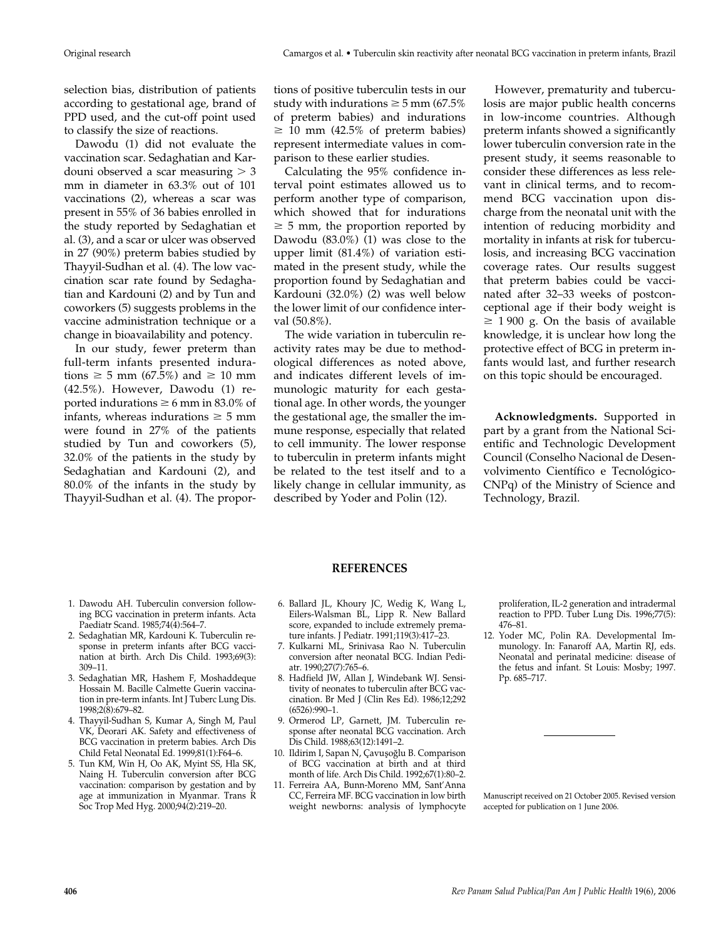selection bias, distribution of patients according to gestational age, brand of PPD used, and the cut-off point used to classify the size of reactions.

Dawodu (1) did not evaluate the vaccination scar. Sedaghatian and Kardouni observed a scar measuring  $>$  3 mm in diameter in 63.3% out of 101 vaccinations (2), whereas a scar was present in 55% of 36 babies enrolled in the study reported by Sedaghatian et al. (3), and a scar or ulcer was observed in 27 (90%) preterm babies studied by Thayyil-Sudhan et al. (4). The low vaccination scar rate found by Sedaghatian and Kardouni (2) and by Tun and coworkers (5) suggests problems in the vaccine administration technique or a change in bioavailability and potency.

In our study, fewer preterm than full-term infants presented indurations  $\geq$  5 mm (67.5%) and  $\geq$  10 mm (42.5%). However, Dawodu (1) reported indurations  $\geq 6$  mm in 83.0% of infants, whereas indurations  $\geq 5$  mm were found in 27% of the patients studied by Tun and coworkers (5), 32.0% of the patients in the study by Sedaghatian and Kardouni (2), and 80.0% of the infants in the study by Thayyil-Sudhan et al. (4). The proportions of positive tuberculin tests in our study with indurations  $\geq$  5 mm (67.5% of preterm babies) and indurations  $\geq$  10 mm (42.5% of preterm babies) represent intermediate values in comparison to these earlier studies.

Calculating the 95% confidence interval point estimates allowed us to perform another type of comparison, which showed that for indurations  $\geq$  5 mm, the proportion reported by Dawodu (83.0%) (1) was close to the upper limit (81.4%) of variation estimated in the present study, while the proportion found by Sedaghatian and Kardouni (32.0%) (2) was well below the lower limit of our confidence interval (50.8%).

The wide variation in tuberculin reactivity rates may be due to methodological differences as noted above, and indicates different levels of immunologic maturity for each gestational age. In other words, the younger the gestational age, the smaller the immune response, especially that related to cell immunity. The lower response to tuberculin in preterm infants might be related to the test itself and to a likely change in cellular immunity, as described by Yoder and Polin (12).

However, prematurity and tuberculosis are major public health concerns in low-income countries. Although preterm infants showed a significantly lower tuberculin conversion rate in the present study, it seems reasonable to consider these differences as less relevant in clinical terms, and to recommend BCG vaccination upon discharge from the neonatal unit with the intention of reducing morbidity and mortality in infants at risk for tuberculosis, and increasing BCG vaccination coverage rates. Our results suggest that preterm babies could be vaccinated after 32–33 weeks of postconceptional age if their body weight is  $\geq$  1900 g. On the basis of available knowledge, it is unclear how long the protective effect of BCG in preterm infants would last, and further research on this topic should be encouraged.

**Acknowledgments.** Supported in part by a grant from the National Scientific and Technologic Development Council (Conselho Nacional de Desenvolvimento Científico e Tecnológico-CNPq) of the Ministry of Science and Technology, Brazil.

#### **REFERENCES**

- 1. Dawodu AH. Tuberculin conversion following BCG vaccination in preterm infants. Acta Paediatr Scand. 1985;74(4):564–7.
- 2. Sedaghatian MR, Kardouni K. Tuberculin response in preterm infants after BCG vaccination at birth. Arch Dis Child. 1993;69(3): 309–11.
- 3. Sedaghatian MR, Hashem F, Moshaddeque Hossain M. Bacille Calmette Guerin vaccination in pre-term infants. Int J Tuberc Lung Dis. 1998;2(8):679–82.
- 4. Thayyil-Sudhan S, Kumar A, Singh M, Paul VK, Deorari AK. Safety and effectiveness of BCG vaccination in preterm babies. Arch Dis Child Fetal Neonatal Ed. 1999;81(1):F64–6.
- 5. Tun KM, Win H, Oo AK, Myint SS, Hla SK, Naing H. Tuberculin conversion after BCG vaccination: comparison by gestation and by age at immunization in Myanmar. Trans R Soc Trop Med Hyg. 2000;94(2):219–20.
- 6. Ballard JL, Khoury JC, Wedig K, Wang L, Eilers-Walsman BL, Lipp R. New Ballard score, expanded to include extremely premature infants. J Pediatr. 1991;119(3):417–23.
- 7. Kulkarni ML, Srinivasa Rao N. Tuberculin conversion after neonatal BCG. Indian Pediatr. 1990;27(7):765–6.
- 8. Hadfield JW, Allan J, Windebank WJ. Sensitivity of neonates to tuberculin after BCG vaccination. Br Med J (Clin Res Ed). 1986;12;292 (6526):990–1.
- 9. Ormerod LP, Garnett, JM. Tuberculin response after neonatal BCG vaccination. Arch Dis Child. 1988;63(12):1491–2.
- 10. Ildirim I, Sapan N, Çavuşoğlu B. Comparison of BCG vaccination at birth and at third month of life. Arch Dis Child. 1992;67(1):80–2.
- 11. Ferreira AA, Bunn-Moreno MM, Sant'Anna CC, Ferreira MF. BCG vaccination in low birth weight newborns: analysis of lymphocyte

proliferation, IL-2 generation and intradermal reaction to PPD. Tuber Lung Dis. 1996;77(5): 476–81.

12. Yoder MC, Polin RA. Developmental Immunology. In: Fanaroff AA, Martin RJ, eds. Neonatal and perinatal medicine: disease of the fetus and infant. St Louis: Mosby; 1997. Pp. 685–717.

Manuscript received on 21 October 2005. Revised version accepted for publication on 1 June 2006.